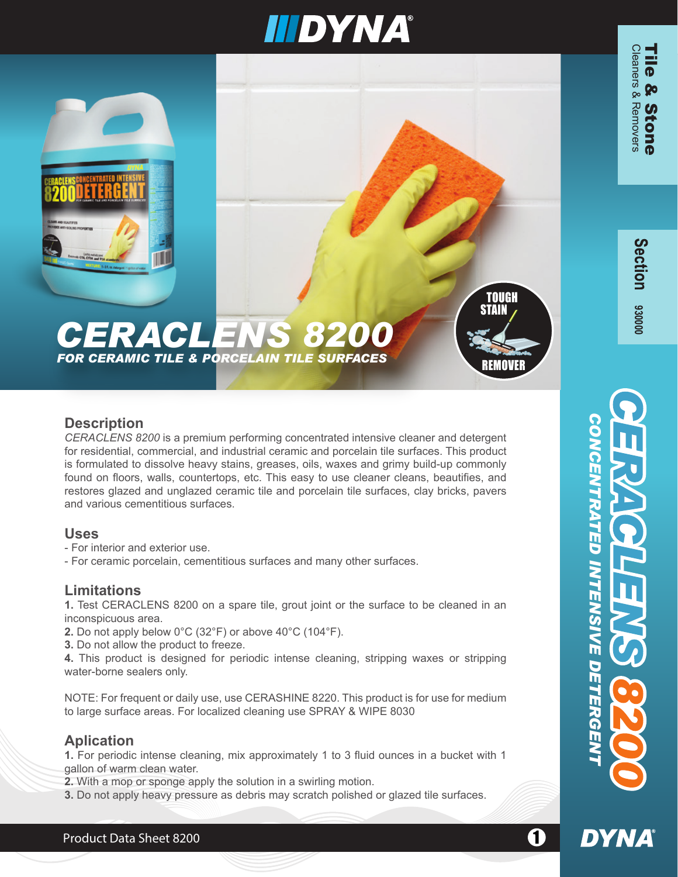# **IIIDYNA®**

# *CERACLENS 8200*



#### **Description**

*CERACLENS 8200* is a premium performing concentrated intensive cleaner and detergent for residential, commercial, and industrial ceramic and porcelain tile surfaces. This product is formulated to dissolve heavy stains, greases, oils, waxes and grimy build-up commonly found on floors, walls, countertops, etc. This easy to use cleaner cleans, beautifies, and restores glazed and unglazed ceramic tile and porcelain tile surfaces, clay bricks, pavers and various cementitious surfaces.

#### **Uses**

- For interior and exterior use.
- For ceramic porcelain, cementitious surfaces and many other surfaces.

#### **Limitations**

**1.** Test CERACLENS 8200 on a spare tile, grout joint or the surface to be cleaned in an inconspicuous area.

- **2.** Do not apply below 0°C (32°F) or above 40°C (104°F).
- **3.** Do not allow the product to freeze.

**4.** This product is designed for periodic intense cleaning, stripping waxes or stripping water-borne sealers only.

NOTE: For frequent or daily use, use CERASHINE 8220. This product is for use for medium to large surface areas. For localized cleaning use SPRAY & WIPE 8030

# **Aplication**

**1.** For periodic intense cleaning, mix approximately 1 to 3 fluid ounces in a bucket with 1 gallon of warm clean water.

Product Data Sheet 8200 11 12 12 12 12 13 14 15 16 17 17 18 19 19 10 11 12 12 13 14 15 16 17 17 17 18 19 19 1

**2.** With a mop or sponge apply the solution in a swirling motion.

**3.** Do not apply heavy pressure as debris may scratch polished or glazed tile surfaces.

*CONCENTRATED INTENSIVE DETERGENT*

**INTENSIVE** 

**DETERGE** 

**DYNA** 

RATED